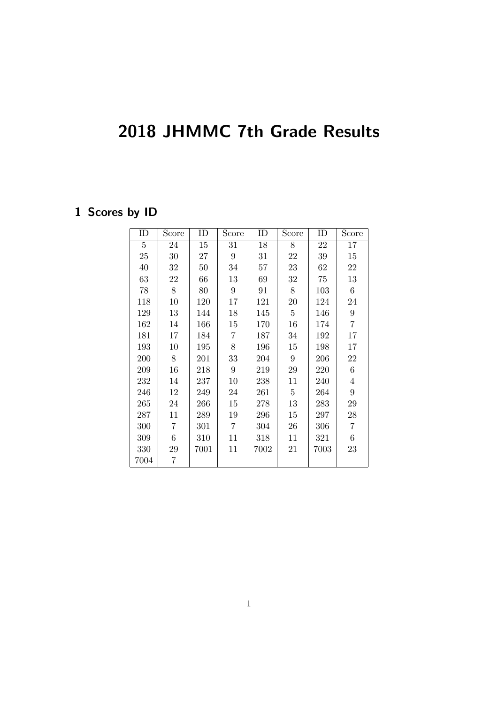## 2018 JHMMC 7th Grade Results

## 1 Scores by ID

| ID              | Score           | ID   | Score            | ID     | Score           | ID   | Score            |
|-----------------|-----------------|------|------------------|--------|-----------------|------|------------------|
| $5\overline{)}$ | 24              | 15   | 31               | 18     | 8               | 22   | 17               |
| 25              | 30              | 27   | $9\phantom{.0}$  | 31     | 22              | 39   | 15               |
| 40              | 32              | 50   | 34               | $57\,$ | 23              | 62   | 22               |
| 63              | 22              | 66   | 13               | 69     | 32              | 75   | 13               |
| 78              | 8               | 80   | $\boldsymbol{9}$ | 91     | 8               | 103  | $6\,$            |
| 118             | 10              | 120  | 17               | 121    | 20              | 124  | 24               |
| 129             | 13              | 144  | 18               | 145    | $\overline{5}$  | 146  | $\boldsymbol{9}$ |
| 162             | 14              | 166  | 15               | 170    | 16              | 174  | $\overline{7}$   |
| 181             | 17              | 184  | $\overline{7}$   | 187    | 34              | 192  | 17               |
| 193             | 10              | 195  | $8\,$            | 196    | 15              | 198  | 17               |
| 200             | 8               | 201  | 33               | 204    | 9               | 206  | 22               |
| 209             | 16              | 218  | 9                | 219    | $\,29$          | 220  | $\,6$            |
| 232             | 14              | 237  | 10               | 238    | 11              | 240  | $\overline{4}$   |
| 246             | 12              | 249  | 24               | 261    | $5\overline{)}$ | 264  | $\boldsymbol{9}$ |
| 265             | 24              | 266  | 15               | 278    | 13              | 283  | $\,29$           |
| 287             | 11              | 289  | 19               | 296    | 15              | 297  | $\sqrt{28}$      |
| 300             | 7               | 301  | $\overline{7}$   | 304    | 26              | 306  | $\overline{7}$   |
| 309             | $6\phantom{.}6$ | 310  | 11               | 318    | 11              | 321  | 6                |
| 330             | 29              | 7001 | 11               | 7002   | 21              | 7003 | 23               |
| 7004            | 7               |      |                  |        |                 |      |                  |